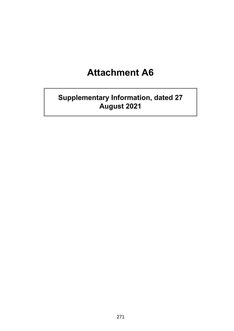# **Attachment A6**

# **Supplementary Information, dated 27 August 2021**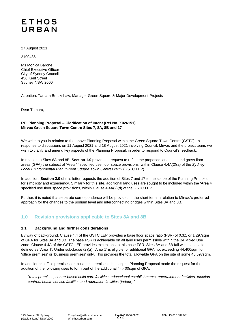## **ETHOS** URBAN

27 August 2021

2190436

Ms Monica Barone Chief Executive Officer City of Sydney Council 456 Kent Street Sydney NSW 2000

Attention: Tamara Bruckshaw, Manager Green Square & Major Development Projects

Dear Tamara,

#### **RE: Planning Proposal – Clarification of Intent (Ref No. X026151) Mirvac Green Square Town Centre Sites 7, 8A, 8B and 17**

We write to you in relation to the above Planning Proposal within the Green Square Town Centre (GSTC). In response to discussions on 11 August 2021 and 18 August 2021 involving Council, Mirvac and the project team, we wish to clarify and amend key aspects of the Planning Proposal, in order to respond to Council's feedback.

In relation to Sites 8A and 8B, **Section 1.0** provides a request to refine the proposed land uses and gross floor areas (GFA) the subject of 'Area 1' specified use floor space provisions, within Clause 4.4A(2)(a) of the *Sydney Local Environmental Plan (Green Square Town Centre) 2013* (GSTC LEP).

In addition, **Section 2.0** of this letter requests the addition of Sites 7 and 17 to the scope of the Planning Proposal, for simplicity and expediency. Similarly for this site, additional land uses are sought to be included within the 'Area 4' specified use floor space provisions, within Clause 4.4A(2)(d) of the GSTC LEP.

Further, it is noted that separate correspondence will be provided in the short term in relation to Mirvac's preferred approach for the changes to the podium level and interconnecting bridges within Sites 8A and 8B.

### **1.0 Revision provisions applicable to Sites 8A and 8B**

#### **1.1 Background and further considerations**

By way of background, Clause 4.4 of the GSTC LEP provides a base floor space ratio (FSR) of 0.3:1 or 1,297sqm of GFA for Sites 8A and 8B. The base FSR is achievable on all land uses permissible within the B4 Mixed Use zone. Clause 4.4A of the GSTC LEP provides exceptions to this base FSR. Sites 8A and 8B fall within a location defined as 'Area 1'. Under subclause (2)(a), 'Area 1' is eligible for additional GFA not exceeding 44,400sqm for 'office premises' or 'business premises' only. This provides the total allowable GFA on the site of some 45,697sqm.

In addition to 'office premises' or 'business premises', the subject Planning Proposal made the request for the addition of the following uses to form part of the additional 44,400sqm of GFA:

*"retail premises, centre-based child care facilities, educational establishments, entertainment facilities, function centres, health service facilities and recreation facilities (indoor)."*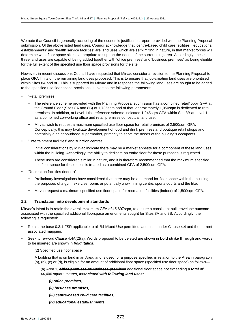We note that Council is generally accepting of the economic justification report, provided with the Planning Proposal submission. Of the above listed land uses, Council acknowledge that 'centre-based child care facilities', 'educational establishments' and 'health service facilities' are land uses which are self-limiting in nature, in that market forces will determine what floor space size is appropriate to support the needs of the surrounding area. Accordingly, these three land uses are capable of being added together with 'office premises' and 'business premises' as being eligible for the full extent of the specified use floor space provisions for the site.

However, in recent discussions Council have requested that Mirvac consider a revision to the Planning Proposal to place GFA limits on the remaining land uses proposed. This is to ensure that job-creating land uses are prioritised within Sites 8A and 8B. This is supported by Mirvac and in response the following land uses are sought to be added to the specified use floor space provisions, subject to the following parameters:

- 'Retail premises'
	- The reference scheme provided with the Planning Proposal submission has a combined retail/lobby GFA at the Ground Floor (Sites 8A and 8B) of 1,735sqm and of that, approximately 1,050sqm is dedicated to retail premises. In addition, at Level 1 the reference scheme indicated 1,245sqm GFA within Site 8B at Level 1, as a combined co-working office and retail premises conceptual land use.
	- − Mirvac wish to request a maximum specified use floor space for retail premises of 2,500sqm GFA. Conceptually, this may facilitate development of food and drink premises and boutique retail shops and potentially a neighbourhood supermarket, primarily to serve the needs of the building's occupants.
- 'Entertainment facilities' and 'function centres'
	- − Initial considerations by Mirvac indicate there may be a market appetite for a component of these land uses within the building. Accordingly, the ability to dedicate an entire floor for these purposes is requested.
	- These uses are considered similar in nature, and it is therefore recommended that the maximum specified use floor space for these uses is treated as a combined GFA of 2,500sqm GFA.
- 'Recreation facilities (indoor)'
	- Preliminary investigations have considered that there may be a demand for floor space within the building the purposes of a gym, exercise rooms or potentially a swimming centre, sports courts and the like.
	- − Mirvac request a maximum specified use floor space for recreation facilities (indoor) of 1,500sqm GFA.

#### **1.2 Translation into development standards**

Mirvac's intent is to retain the overall maximum GFA of 45,697sqm, to ensure a consistent built envelope outcome associated with the specified additional floorspace amendments sought for Sites 8A and 8B. Accordingly, the following is requested:

- Retain the base 0.3:1 FSR applicable to all B4 Mixed Use permitted land uses under Clause 4.4 and the current associated mapping.
- Seek to re-word Clause 4.4A(2)(a). Words proposed to be deleted are shown in **bold strike through** and words to be inserted are shown in *bold italics*.

#### (2) Specified use floor space

A building that is on land in an Area, and is used for a purpose specified in relation to the Area in paragraph (a), (b), (c) or (d), is eligible for an amount of additional floor space (specified use floor space) as follows—

#### (a) Area 1, **office premises or business premises** additional floor space not exceeding *a total of*  44,400 square metres, *associated with following land uses:*

- *(i) office premises,*
- *(ii) business premises,*
- *(iii) centre-based child care facilities,*
- *(iv) educational establishments,*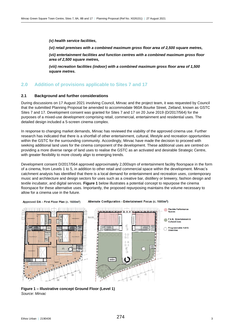*(v) health service facilities,*

*(vi) retail premises with a combined maximum gross floor area of 2,500 square metres,*

*(vii) entertainment facilities and function centres with a combined maximum gross floor area of 2,500 square metres,*

*(viii) recreation facilities (indoor) with a combined maximum gross floor area of 1,500 square metres.*

#### **2.0 Addition of provisions applicable to Sites 7 and 17**

#### **2.1 Background and further considerations**

During discussions on 17 August 2021 involving Council, Mirvac and the project team, it was requested by Council that the submitted Planning Proposal be amended to accommodate 960A Bourke Street, Zetland, known as GSTC Sites 7 and 17. Development consent was granted for Sites 7 and 17 on 20 June 2019 (D/2017/564) for the purposes of a mixed-use development comprising retail, commercial, entertainment and residential uses. The detailed design included a 5-screen cinema complex.

In response to changing market demands, Mirvac has reviewed the viability of the approved cinema use. Further research has indicated that there is a shortfall of other entertainment, cultural, lifestyle and recreation opportunities within the GSTC for the surrounding community. Accordingly, Mirvac have made the decision to proceed with seeking additional land uses for the cinema component of the development. These additional uses are centred on providing a more diverse range of land uses to realise the GSTC as an activated and desirable Strategic Centre, with greater flexibility to more closely align to emerging trends.

Development consent D/2017/564 approved approximately 2,000sqm of entertainment facility floorspace in the form of a cinema, from Levels 1 to 5, in addition to other retail and commercial space within the development. Mirvac's catchment analysis has identified that there is a local demand for entertainment and recreation uses, contemporary music and architecture and design sectors for uses such as a creative bar, distillery or brewery, fashion design and textile incubator, and digital services. **Figure 1** below illustrates a potential concept to repurpose the cinema floorspace for these alternative uses. Importantly, the proposed repurposing maintains the volume necessary to allow for a cinema use in the future.



Approved DA - First Floor Plan (c. 1600m<sup>2</sup>) Alternate Configuration - Entertainment Focus (c. 1600m<sup>2</sup>)

**Figure 1 – Illustrative concept Ground Floor (Level 1)** *Source: Mirvac*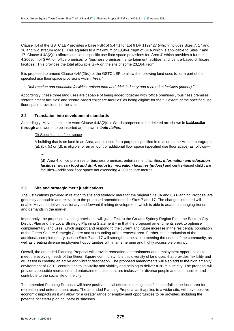Clause 4.4 of the GSTC LEP provides a base FSR of 5.47:1 for Lot 6 DP 1199427 (which includes Sites 7, 17 and 18 and two stratum roads). This equates to a maximum of 18,964.7sqm of GFA which is applicable to Sites 7 and 17. Clause 4.4A(2)(d) affords additional specific use floor space provisions for 'Area 4' which provides a further 4,200sqm of GFA for 'office premises' or 'business premises', 'entertainment facilities' and 'centre-based childcare facilities'. This provides the total allowable GFA on the site of some 23,164.7sqm.

It is proposed to amend Clause 4.4A(2)(d) of the GSTC LEP to allow the following land uses to form part of the specified use floor space provisions within 'Area 4':

*"Information and education facilities, artisan food and drink industry and recreation facilities (indoor)."*

Accordingly, these three land uses are capable of being added together with 'office premises', 'business premises' 'entertainment facilities' and 'centre-based childcare facilities' as being eligible for the full extent of the specified use floor space provisions for the site.

#### **2.2 Translation into development standards**

Accordingly, Mirvac seek to re-word Clause 4.4A(2)(d). Words proposed to be deleted are shown in **bold strike through** and words to be inserted are shown in *bold italics*.

#### (2) Specified use floor space

A building that is on land in an Area, and is used for a purpose specified in relation to the Area in paragraph (a), (b), (c) or (d), is eligible for an amount of additional floor space (specified use floor space) as follows—

…

(d) Area 4, office premises or business premises, entertainment facilities*, information and education facilities, artisan food and drink industry, recreation facilities (indoor)* and centre-based child care facilities—additional floor space not exceeding 4,200 square metres.

#### **2.3 Site and strategic merit justifications**

The justifications provided in relation to site and strategic merit for the original Site 8A and 8B Planning Proposal are generally applicable and relevant to the proposed amendments for Sites 7 and 17. The changes intended will enable Mirvac to deliver a visionary and forward thinking development, which is able to adapt to changing trends and demands in the market.

Importantly, the proposed planning provisions will give effect to the Greater Sydney Region Plan, the Eastern City District Plan and the Local Strategic Planning Statement – in that the proposed amendments seek to optimise complimentary land uses, which support and respond to the current and future increase in the residential population of the Green Square Strategic Centre and surrounding urban renewal area. Further, the introduction of the additional, complementary uses to Sites 7 and 17 will strengthen the site in meeting the needs of the community, as well as creating diverse employment opportunities within an emerging and highly accessible precinct.

Overall, the amended Planning Proposal will provide recreation, entertainment and employment opportunities to meet the evolving needs of the Green Square community. It is this diversity of land uses that provides flexibility and will assist in creating an active and vibrant destination. The proposed amendments will also add to the high amenity environment of GSTC contributing to its vitality and viability and helping to deliver a 30-minute city. The proposal will provide accessible recreation and entertainment uses that are inclusive for diverse people and communities and contribute to the social life of the city.

The amended Planning Proposal will have positive social effects, meeting identified shortfall in the local area for recreation and entertainment uses. The amended Planning Proposal as it applies to a wider site, will have positive economic impacts as it will allow for a greater range of employment opportunities to be provided, including the potential for start-up or incubator businesses.